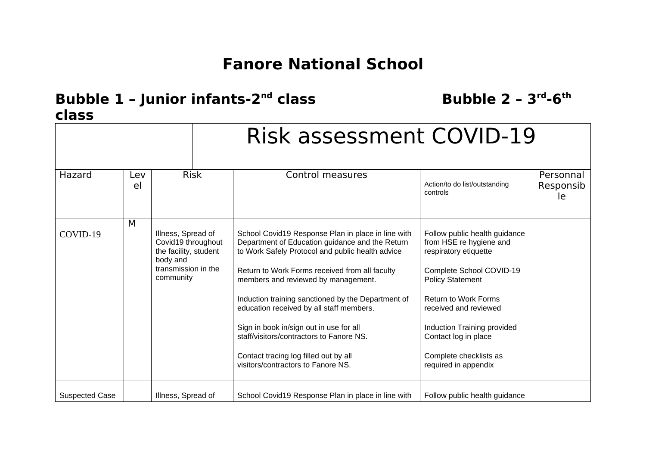## **Fanore National School**

## **Bubble 1 – Junior infants-2nd class Bubble 2 – 3rd-6th class**

|                       | <b>Risk assessment COVID-19</b> |                                                                                                                   |                                                                                                                                                                                                                                                                                                                                                                                                                                                                                                                            |                                                                                                                                                                                                                                                                                                           |                              |
|-----------------------|---------------------------------|-------------------------------------------------------------------------------------------------------------------|----------------------------------------------------------------------------------------------------------------------------------------------------------------------------------------------------------------------------------------------------------------------------------------------------------------------------------------------------------------------------------------------------------------------------------------------------------------------------------------------------------------------------|-----------------------------------------------------------------------------------------------------------------------------------------------------------------------------------------------------------------------------------------------------------------------------------------------------------|------------------------------|
| Hazard                | Lev<br>el                       | <b>Risk</b>                                                                                                       | Control measures                                                                                                                                                                                                                                                                                                                                                                                                                                                                                                           | Action/to do list/outstanding<br>controls                                                                                                                                                                                                                                                                 | Personnal<br>Responsib<br>le |
| COVID-19              | M                               | Illness, Spread of<br>Covid19 throughout<br>the facility, student<br>body and<br>transmission in the<br>community | School Covid19 Response Plan in place in line with<br>Department of Education guidance and the Return<br>to Work Safely Protocol and public health advice<br>Return to Work Forms received from all faculty<br>members and reviewed by management.<br>Induction training sanctioned by the Department of<br>education received by all staff members.<br>Sign in book in/sign out in use for all<br>staff/visitors/contractors to Fanore NS.<br>Contact tracing log filled out by all<br>visitors/contractors to Fanore NS. | Follow public health guidance<br>from HSE re hygiene and<br>respiratory etiquette<br>Complete School COVID-19<br><b>Policy Statement</b><br><b>Return to Work Forms</b><br>received and reviewed<br>Induction Training provided<br>Contact log in place<br>Complete checklists as<br>required in appendix |                              |
| <b>Suspected Case</b> |                                 | Illness, Spread of                                                                                                | School Covid19 Response Plan in place in line with                                                                                                                                                                                                                                                                                                                                                                                                                                                                         | Follow public health guidance                                                                                                                                                                                                                                                                             |                              |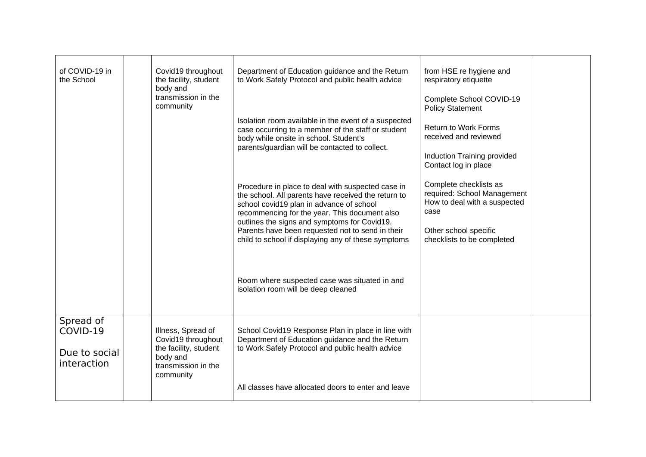| of COVID-19 in<br>the School                          | Covid19 throughout<br>the facility, student<br>body and<br>transmission in the<br>community                       | Department of Education guidance and the Return<br>to Work Safely Protocol and public health advice                                                                                                                                                                                                                                                              | from HSE re hygiene and<br>respiratory etiquette<br>Complete School COVID-19<br><b>Policy Statement</b>                                              |  |
|-------------------------------------------------------|-------------------------------------------------------------------------------------------------------------------|------------------------------------------------------------------------------------------------------------------------------------------------------------------------------------------------------------------------------------------------------------------------------------------------------------------------------------------------------------------|------------------------------------------------------------------------------------------------------------------------------------------------------|--|
|                                                       |                                                                                                                   | Isolation room available in the event of a suspected<br>case occurring to a member of the staff or student<br>body while onsite in school. Student's                                                                                                                                                                                                             | <b>Return to Work Forms</b><br>received and reviewed                                                                                                 |  |
|                                                       |                                                                                                                   | parents/guardian will be contacted to collect.                                                                                                                                                                                                                                                                                                                   | Induction Training provided<br>Contact log in place                                                                                                  |  |
|                                                       |                                                                                                                   | Procedure in place to deal with suspected case in<br>the school. All parents have received the return to<br>school covid19 plan in advance of school<br>recommencing for the year. This document also<br>outlines the signs and symptoms for Covid19.<br>Parents have been requested not to send in their<br>child to school if displaying any of these symptoms | Complete checklists as<br>required: School Management<br>How to deal with a suspected<br>case<br>Other school specific<br>checklists to be completed |  |
|                                                       |                                                                                                                   | Room where suspected case was situated in and<br>isolation room will be deep cleaned                                                                                                                                                                                                                                                                             |                                                                                                                                                      |  |
| Spread of<br>COVID-19<br>Due to social<br>interaction | Illness, Spread of<br>Covid19 throughout<br>the facility, student<br>body and<br>transmission in the<br>community | School Covid19 Response Plan in place in line with<br>Department of Education guidance and the Return<br>to Work Safely Protocol and public health advice                                                                                                                                                                                                        |                                                                                                                                                      |  |
|                                                       |                                                                                                                   | All classes have allocated doors to enter and leave                                                                                                                                                                                                                                                                                                              |                                                                                                                                                      |  |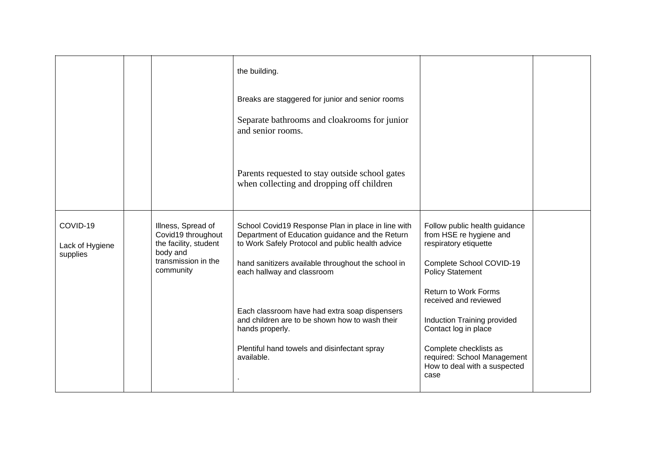|                                         |                                                                               | the building.<br>Breaks are staggered for junior and senior rooms                                                                                         |                                                                                               |  |
|-----------------------------------------|-------------------------------------------------------------------------------|-----------------------------------------------------------------------------------------------------------------------------------------------------------|-----------------------------------------------------------------------------------------------|--|
|                                         |                                                                               | Separate bathrooms and cloakrooms for junior<br>and senior rooms.<br>Parents requested to stay outside school gates                                       |                                                                                               |  |
|                                         |                                                                               | when collecting and dropping off children                                                                                                                 |                                                                                               |  |
| COVID-19<br>Lack of Hygiene<br>supplies | Illness, Spread of<br>Covid19 throughout<br>the facility, student<br>body and | School Covid19 Response Plan in place in line with<br>Department of Education guidance and the Return<br>to Work Safely Protocol and public health advice | Follow public health guidance<br>from HSE re hygiene and<br>respiratory etiquette             |  |
|                                         | transmission in the<br>community                                              | hand sanitizers available throughout the school in<br>each hallway and classroom                                                                          | Complete School COVID-19<br><b>Policy Statement</b>                                           |  |
|                                         |                                                                               | Each classroom have had extra soap dispensers                                                                                                             | <b>Return to Work Forms</b><br>received and reviewed                                          |  |
|                                         |                                                                               | and children are to be shown how to wash their<br>hands properly.                                                                                         | Induction Training provided<br>Contact log in place                                           |  |
|                                         |                                                                               | Plentiful hand towels and disinfectant spray<br>available.                                                                                                | Complete checklists as<br>required: School Management<br>How to deal with a suspected<br>case |  |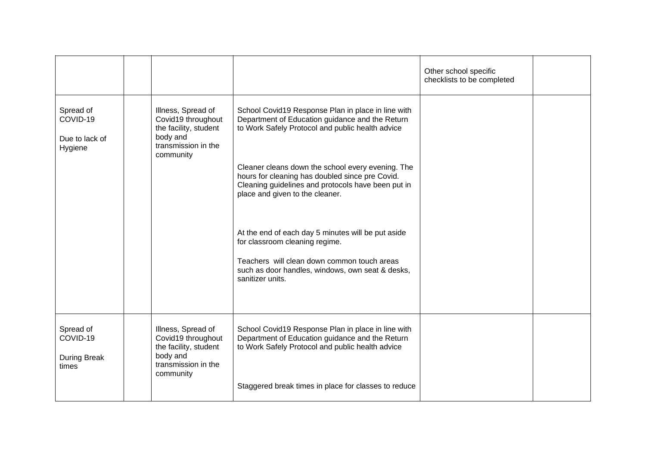|                                                    |                                                                                                                   |                                                                                                                                                                                                             | Other school specific<br>checklists to be completed |  |
|----------------------------------------------------|-------------------------------------------------------------------------------------------------------------------|-------------------------------------------------------------------------------------------------------------------------------------------------------------------------------------------------------------|-----------------------------------------------------|--|
| Spread of<br>COVID-19<br>Due to lack of<br>Hygiene | Illness, Spread of<br>Covid19 throughout<br>the facility, student<br>body and<br>transmission in the<br>community | School Covid19 Response Plan in place in line with<br>Department of Education guidance and the Return<br>to Work Safely Protocol and public health advice                                                   |                                                     |  |
|                                                    |                                                                                                                   | Cleaner cleans down the school every evening. The<br>hours for cleaning has doubled since pre Covid.<br>Cleaning guidelines and protocols have been put in<br>place and given to the cleaner.               |                                                     |  |
|                                                    |                                                                                                                   | At the end of each day 5 minutes will be put aside<br>for classroom cleaning regime.<br>Teachers will clean down common touch areas<br>such as door handles, windows, own seat & desks,<br>sanitizer units. |                                                     |  |
|                                                    |                                                                                                                   |                                                                                                                                                                                                             |                                                     |  |
| Spread of<br>COVID-19<br>During Break<br>times     | Illness, Spread of<br>Covid19 throughout<br>the facility, student<br>body and<br>transmission in the<br>community | School Covid19 Response Plan in place in line with<br>Department of Education guidance and the Return<br>to Work Safely Protocol and public health advice                                                   |                                                     |  |
|                                                    |                                                                                                                   | Staggered break times in place for classes to reduce                                                                                                                                                        |                                                     |  |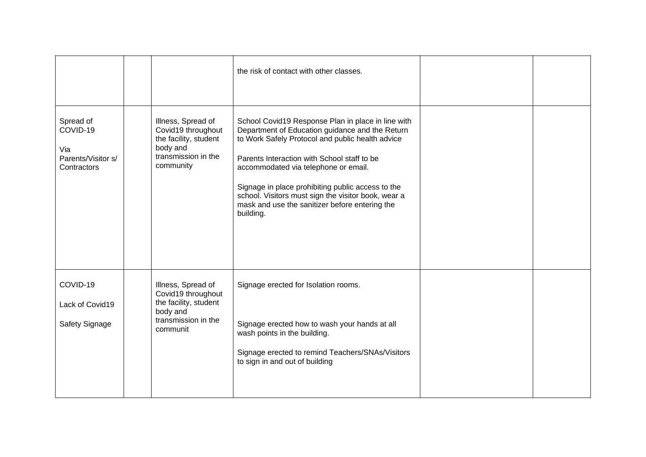|                                                                   |                                                                                                                   | the risk of contact with other classes.                                                                                                                                                                                                                                                                                                                                                                                     |  |
|-------------------------------------------------------------------|-------------------------------------------------------------------------------------------------------------------|-----------------------------------------------------------------------------------------------------------------------------------------------------------------------------------------------------------------------------------------------------------------------------------------------------------------------------------------------------------------------------------------------------------------------------|--|
| Spread of<br>COVID-19<br>Via<br>Parents/Visitor s/<br>Contractors | Illness, Spread of<br>Covid19 throughout<br>the facility, student<br>body and<br>transmission in the<br>community | School Covid19 Response Plan in place in line with<br>Department of Education guidance and the Return<br>to Work Safely Protocol and public health advice<br>Parents Interaction with School staff to be<br>accommodated via telephone or email.<br>Signage in place prohibiting public access to the<br>school. Visitors must sign the visitor book, wear a<br>mask and use the sanitizer before entering the<br>building. |  |
| COVID-19<br>Lack of Covid19<br>Safety Signage                     | Illness, Spread of<br>Covid19 throughout<br>the facility, student<br>body and<br>transmission in the<br>communit  | Signage erected for Isolation rooms.<br>Signage erected how to wash your hands at all<br>wash points in the building.<br>Signage erected to remind Teachers/SNAs/Visitors<br>to sign in and out of building                                                                                                                                                                                                                 |  |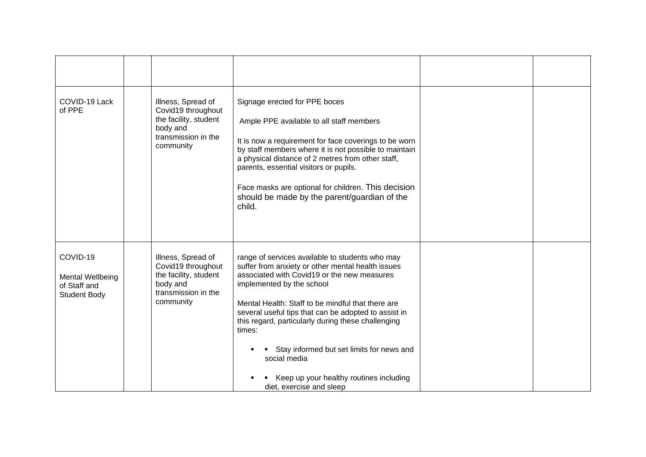| COVID-19 Lack<br>of PPE                                             | Illness, Spread of<br>Covid19 throughout<br>the facility, student<br>body and<br>transmission in the<br>community | Signage erected for PPE boces<br>Ample PPE available to all staff members<br>It is now a requirement for face coverings to be worn<br>by staff members where it is not possible to maintain<br>a physical distance of 2 metres from other staff,<br>parents, essential visitors or pupils.<br>Face masks are optional for children. This decision<br>should be made by the parent/guardian of the |  |
|---------------------------------------------------------------------|-------------------------------------------------------------------------------------------------------------------|---------------------------------------------------------------------------------------------------------------------------------------------------------------------------------------------------------------------------------------------------------------------------------------------------------------------------------------------------------------------------------------------------|--|
| COVID-19<br>Mental Wellbeing<br>of Staff and<br><b>Student Body</b> | Illness, Spread of<br>Covid19 throughout<br>the facility, student<br>body and<br>transmission in the<br>community | child.<br>range of services available to students who may<br>suffer from anxiety or other mental health issues<br>associated with Covid19 or the new measures<br>implemented by the school<br>Mental Health: Staff to be mindful that there are<br>several useful tips that can be adopted to assist in<br>this regard, particularly during these challenging<br>times:                           |  |
|                                                                     |                                                                                                                   | Stay informed but set limits for news and<br>social media<br>Keep up your healthy routines including<br>diet, exercise and sleep                                                                                                                                                                                                                                                                  |  |